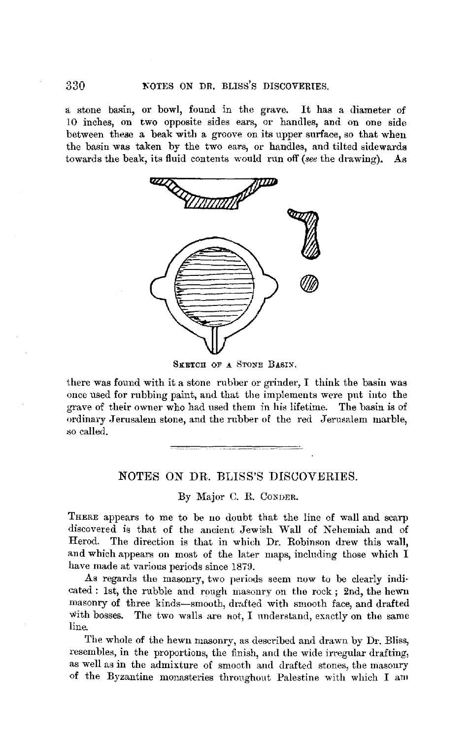a stone basin, or bowl, found in the grave. It has a diameter of 10 inches, on two opposite sides ears, or handles, and on one side between these a beak with a groove on its upper surface, so that when the basin was taken by the two ears, or handles, and tilted sidewards towards the beak, its fluid contents would run off *(see* the drawing). As



SKETCH OF A STONE BASIN.

there was found with it a stone rubber or grinder, I think the basin was once used for rubbing paint, and that the implements were put into the grave of their owner who had used them in his lifetime. The basin is of ordinary Jerusalem stone, and the rubber of the red Jerusalem marble, so called.

## NOTES ON DR. BLISS'S DISCOVERIES.

By Major C. R. CoNDER.

THERE appears to me to be no doubt that the line of wall and scarp discovered is that of the ancient Jewish Wall of Nehemiah and of Herod. The direction is that in which Dr. Robinson drew this wall, and which appears on most of the later maps, including those which I have made at various periods since 1879.

As regards the masonry, two periods seem now to be clearly indicated : 1st, the rubble and rough masonry on the rock; 2nd, the hewn masonry of three kinds-smooth, drafted with smooth face, and drafted with bosses. The two walls are not, I understand, exactly on the same line.

The whole of the hewn masonry, as described and drawn by Dr. Bliss, resembles, in the proportions, the finish, and the wide irregular drafting, as well as in the admixture of smooth and drafted stones, the masonry of the Byzantine monasteries throughout Palestine with which I am